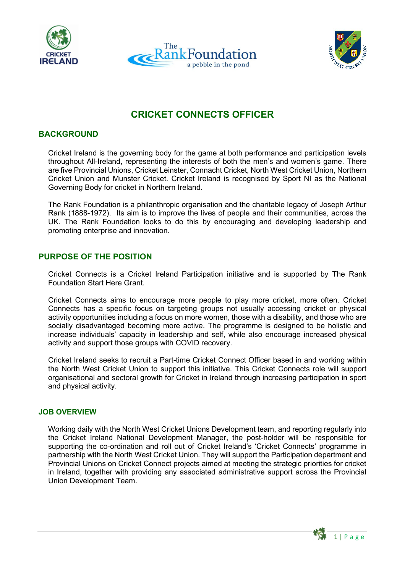





# **CRICKET CONNECTS OFFICER**

# **BACKGROUND**

Cricket Ireland is the governing body for the game at both performance and participation levels throughout All-Ireland, representing the interests of both the men's and women's game. There are five Provincial Unions, Cricket Leinster, Connacht Cricket, North West Cricket Union, Northern Cricket Union and Munster Cricket. Cricket Ireland is recognised by Sport NI as the National Governing Body for cricket in Northern Ireland.

The Rank Foundation is a philanthropic organisation and the charitable legacy of Joseph Arthur Rank (1888-1972). Its aim is to improve the lives of people and their communities, across the UK. The Rank Foundation looks to do this by encouraging and developing leadership and promoting enterprise and innovation.

# **PURPOSE OF THE POSITION**

Cricket Connects is a Cricket Ireland Participation initiative and is supported by The Rank Foundation Start Here Grant.

Cricket Connects aims to encourage more people to play more cricket, more often. Cricket Connects has a specific focus on targeting groups not usually accessing cricket or physical activity opportunities including a focus on more women, those with a disability, and those who are socially disadvantaged becoming more active. The programme is designed to be holistic and increase individuals' capacity in leadership and self, while also encourage increased physical activity and support those groups with COVID recovery.

Cricket Ireland seeks to recruit a Part-time Cricket Connect Officer based in and working within the North West Cricket Union to support this initiative. This Cricket Connects role will support organisational and sectoral growth for Cricket in Ireland through increasing participation in sport and physical activity.

#### **JOB OVERVIEW**

Working daily with the North West Cricket Unions Development team, and reporting regularly into the Cricket Ireland National Development Manager, the post-holder will be responsible for supporting the co-ordination and roll out of Cricket Ireland's 'Cricket Connects' programme in partnership with the North West Cricket Union. They will support the Participation department and Provincial Unions on Cricket Connect projects aimed at meeting the strategic priorities for cricket in Ireland, together with providing any associated administrative support across the Provincial Union Development Team.

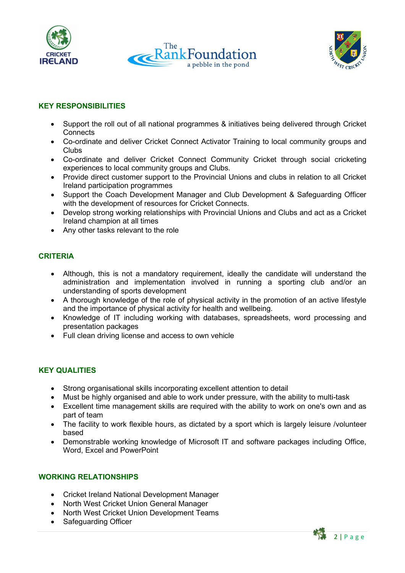





# **KEY RESPONSIBILITIES**

- Support the roll out of all national programmes & initiatives being delivered through Cricket **Connects**
- Co-ordinate and deliver Cricket Connect Activator Training to local community groups and Clubs
- Co-ordinate and deliver Cricket Connect Community Cricket through social cricketing experiences to local community groups and Clubs.
- Provide direct customer support to the Provincial Unions and clubs in relation to all Cricket Ireland participation programmes
- Support the Coach Development Manager and Club Development & Safeguarding Officer with the development of resources for Cricket Connects.
- Develop strong working relationships with Provincial Unions and Clubs and act as a Cricket Ireland champion at all times
- Any other tasks relevant to the role

# **CRITERIA**

- Although, this is not a mandatory requirement, ideally the candidate will understand the administration and implementation involved in running a sporting club and/or an understanding of sports development
- A thorough knowledge of the role of physical activity in the promotion of an active lifestyle and the importance of physical activity for health and wellbeing.
- Knowledge of IT including working with databases, spreadsheets, word processing and presentation packages
- Full clean driving license and access to own vehicle

#### **KEY QUALITIES**

- Strong organisational skills incorporating excellent attention to detail
- Must be highly organised and able to work under pressure, with the ability to multi-task
- Excellent time management skills are required with the ability to work on one's own and as part of team
- The facility to work flexible hours, as dictated by a sport which is largely leisure /volunteer based
- Demonstrable working knowledge of Microsoft IT and software packages including Office, Word, Excel and PowerPoint

#### **WORKING RELATIONSHIPS**

- Cricket Ireland National Development Manager
- North West Cricket Union General Manager
- North West Cricket Union Development Teams
- Safeguarding Officer